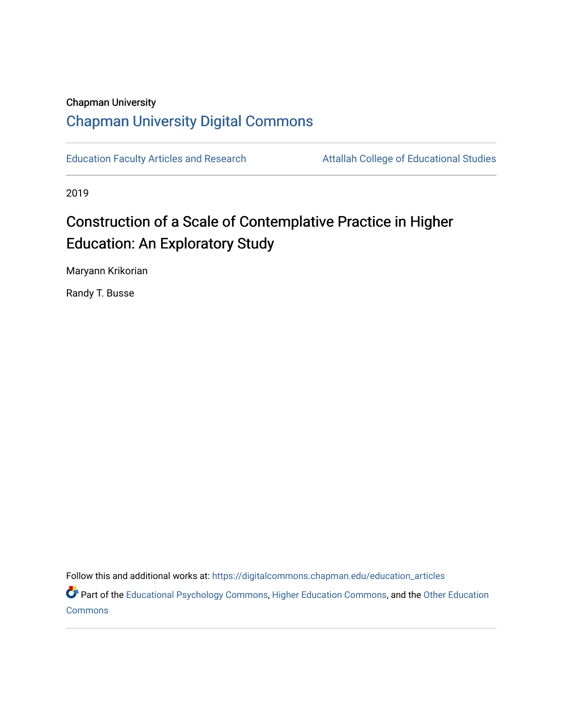# Chapman University [Chapman University Digital Commons](https://digitalcommons.chapman.edu/)

[Education Faculty Articles and Research](https://digitalcommons.chapman.edu/education_articles) **Attallah College of Educational Studies** 

2019

# Construction of a Scale of Contemplative Practice in Higher Education: An Exploratory Study

Maryann Krikorian

Randy T. Busse

Follow this and additional works at: [https://digitalcommons.chapman.edu/education\\_articles](https://digitalcommons.chapman.edu/education_articles?utm_source=digitalcommons.chapman.edu%2Feducation_articles%2F247&utm_medium=PDF&utm_campaign=PDFCoverPages)

Part of the [Educational Psychology Commons,](http://network.bepress.com/hgg/discipline/798?utm_source=digitalcommons.chapman.edu%2Feducation_articles%2F247&utm_medium=PDF&utm_campaign=PDFCoverPages) [Higher Education Commons,](http://network.bepress.com/hgg/discipline/1245?utm_source=digitalcommons.chapman.edu%2Feducation_articles%2F247&utm_medium=PDF&utm_campaign=PDFCoverPages) and the Other Education [Commons](http://network.bepress.com/hgg/discipline/811?utm_source=digitalcommons.chapman.edu%2Feducation_articles%2F247&utm_medium=PDF&utm_campaign=PDFCoverPages)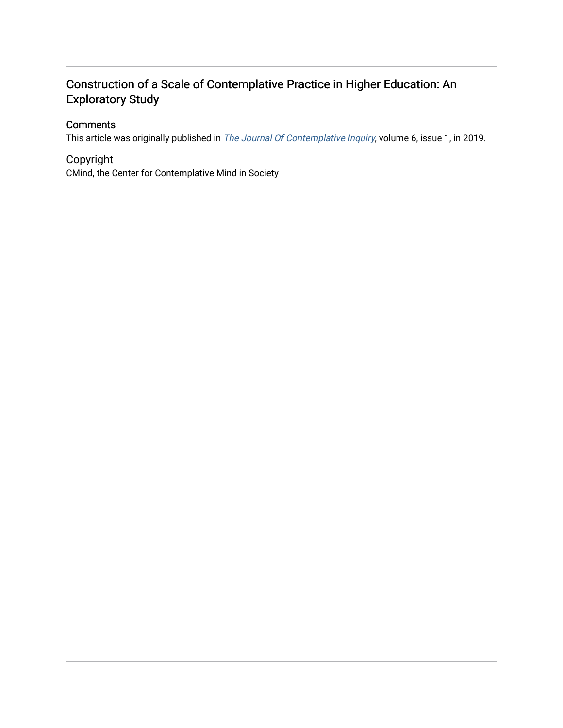# Construction of a Scale of Contemplative Practice in Higher Education: An Exploratory Study

# **Comments**

This article was originally published in [The Journal Of Contemplative Inquiry](https://journal.contemplativeinquiry.org/), volume 6, issue 1, in 2019.

# Copyright

CMind, the Center for Contemplative Mind in Society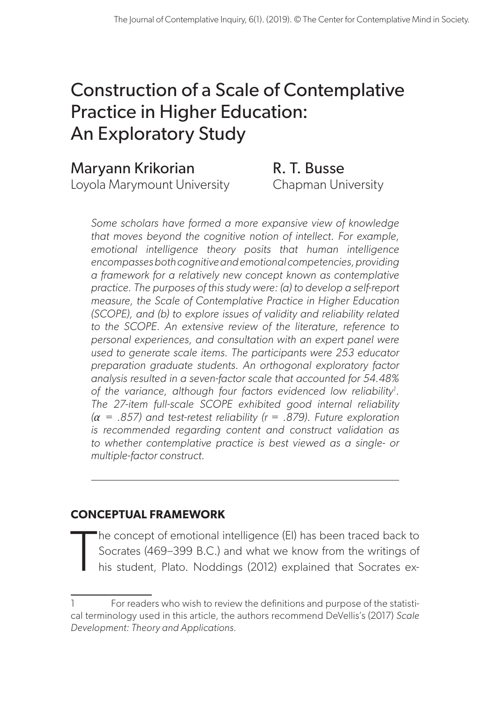# Construction of a Scale of Contemplative Practice in Higher Education: An Exploratory Study

# Maryann Krikorian **R. T. Busse**

Loyola Marymount University Chapman University

*Some scholars have formed a more expansive view of knowledge that moves beyond the cognitive notion of intellect. For example, emotional intelligence theory posits that human intelligence encompasses both cognitive and emotional competencies, providing a framework for a relatively new concept known as contemplative practice. The purposes of this study were: (a) to develop a self-report measure, the Scale of Contemplative Practice in Higher Education (SCOPE), and (b) to explore issues of validity and reliability related to the SCOPE. An extensive review of the literature, reference to personal experiences, and consultation with an expert panel were used to generate scale items. The participants were 253 educator preparation graduate students. An orthogonal exploratory factor analysis resulted in a seven-factor scale that accounted for 54.48%*  of the variance, although four factors evidenced low reliability<sup>1</sup>. *The 27-item full-scale SCOPE exhibited good internal reliability*   $(a = .857)$  and test-retest reliability ( $r = .879$ ). Future exploration *is recommended regarding content and construct validation as to whether contemplative practice is best viewed as a single- or multiple-factor construct.* 

# **CONCEPTUAL FRAMEWORK**

T he concept of emotional intelligence (EI) has been traced back to Socrates (469–399 B.C.) and what we know from the writings of his student, Plato. Noddings (2012) explained that Socrates ex-

For readers who wish to review the definitions and purpose of the statistical terminology used in this article, the authors recommend DeVellis's (2017) *Scale Development: Theory and Applications*.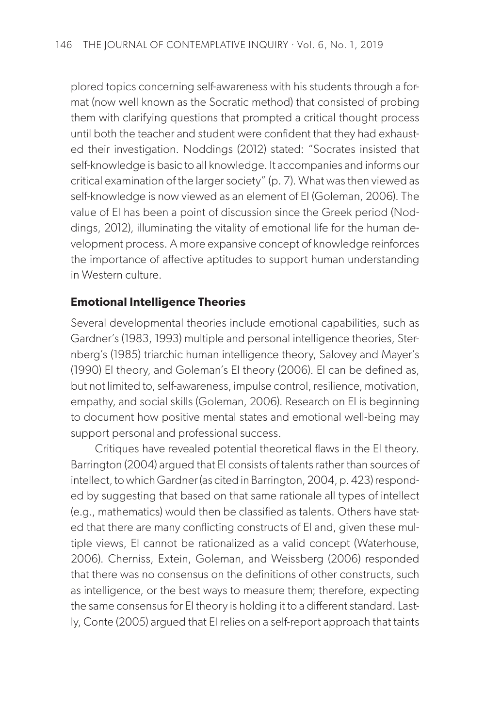plored topics concerning self-awareness with his students through a format (now well known as the Socratic method) that consisted of probing them with clarifying questions that prompted a critical thought process until both the teacher and student were confident that they had exhausted their investigation. Noddings (2012) stated: "Socrates insisted that self-knowledge is basic to all knowledge. It accompanies and informs our critical examination of the larger society" (p. 7). What was then viewed as self-knowledge is now viewed as an element of EI (Goleman, 2006). The value of EI has been a point of discussion since the Greek period (Noddings, 2012), illuminating the vitality of emotional life for the human development process. A more expansive concept of knowledge reinforces the importance of affective aptitudes to support human understanding in Western culture.

#### **Emotional Intelligence Theories**

Several developmental theories include emotional capabilities, such as Gardner's (1983, 1993) multiple and personal intelligence theories, Sternberg's (1985) triarchic human intelligence theory, Salovey and Mayer's (1990) EI theory, and Goleman's EI theory (2006). EI can be defined as, but not limited to, self-awareness, impulse control, resilience, motivation, empathy, and social skills (Goleman, 2006). Research on EI is beginning to document how positive mental states and emotional well-being may support personal and professional success.

Critiques have revealed potential theoretical flaws in the EI theory. Barrington (2004) argued that EI consists of talents rather than sources of intellect, to which Gardner (as cited in Barrington, 2004, p. 423) responded by suggesting that based on that same rationale all types of intellect (e.g., mathematics) would then be classified as talents. Others have stated that there are many conflicting constructs of EI and, given these multiple views, EI cannot be rationalized as a valid concept (Waterhouse, 2006). Cherniss, Extein, Goleman, and Weissberg (2006) responded that there was no consensus on the definitions of other constructs, such as intelligence, or the best ways to measure them; therefore, expecting the same consensus for EI theory is holding it to a different standard. Lastly, Conte (2005) argued that EI relies on a self-report approach that taints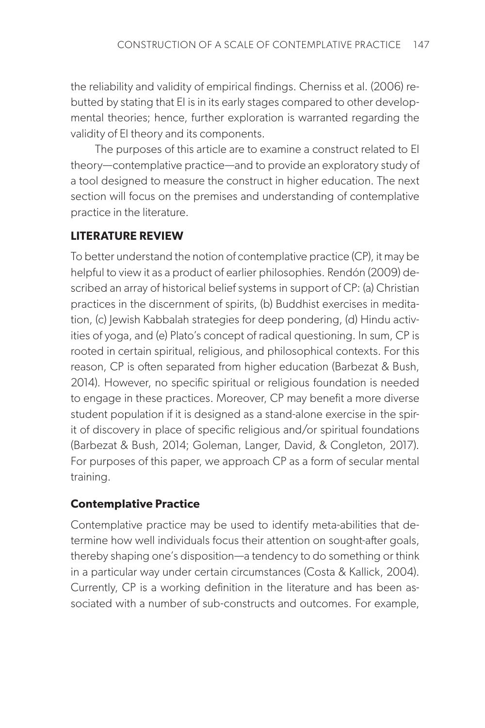the reliability and validity of empirical findings. Cherniss et al. (2006) rebutted by stating that EI is in its early stages compared to other developmental theories; hence, further exploration is warranted regarding the validity of EI theory and its components.

The purposes of this article are to examine a construct related to EI theory—contemplative practice—and to provide an exploratory study of a tool designed to measure the construct in higher education. The next section will focus on the premises and understanding of contemplative practice in the literature.

### **LITERATURE REVIEW**

To better understand the notion of contemplative practice (CP), it may be helpful to view it as a product of earlier philosophies. Rendón (2009) described an array of historical belief systems in support of CP: (a) Christian practices in the discernment of spirits, (b) Buddhist exercises in meditation, (c) Jewish Kabbalah strategies for deep pondering, (d) Hindu activities of yoga, and (e) Plato's concept of radical questioning. In sum, CP is rooted in certain spiritual, religious, and philosophical contexts. For this reason, CP is often separated from higher education (Barbezat & Bush, 2014). However, no specific spiritual or religious foundation is needed to engage in these practices. Moreover, CP may benefit a more diverse student population if it is designed as a stand-alone exercise in the spirit of discovery in place of specific religious and/or spiritual foundations (Barbezat & Bush, 2014; Goleman, Langer, David, & Congleton, 2017). For purposes of this paper, we approach CP as a form of secular mental training.

# **Contemplative Practice**

Contemplative practice may be used to identify meta-abilities that determine how well individuals focus their attention on sought-after goals, thereby shaping one's disposition—a tendency to do something or think in a particular way under certain circumstances (Costa & Kallick, 2004). Currently, CP is a working definition in the literature and has been associated with a number of sub-constructs and outcomes. For example,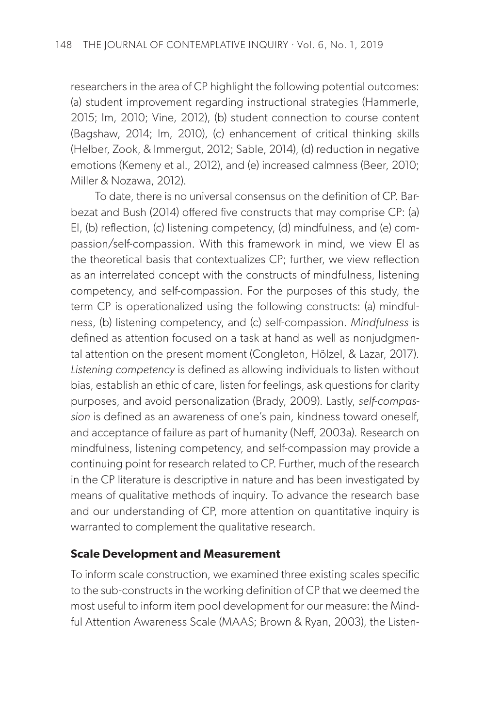researchers in the area of CP highlight the following potential outcomes: (a) student improvement regarding instructional strategies (Hammerle, 2015; Im, 2010; Vine, 2012), (b) student connection to course content (Bagshaw, 2014; Im, 2010), (c) enhancement of critical thinking skills (Helber, Zook, & Immergut, 2012; Sable, 2014), (d) reduction in negative emotions (Kemeny et al., 2012), and (e) increased calmness (Beer, 2010; Miller & Nozawa, 2012).

To date, there is no universal consensus on the definition of CP. Barbezat and Bush (2014) offered five constructs that may comprise CP: (a) EI, (b) reflection, (c) listening competency, (d) mindfulness, and (e) compassion/self-compassion. With this framework in mind, we view EI as the theoretical basis that contextualizes CP; further, we view reflection as an interrelated concept with the constructs of mindfulness, listening competency, and self-compassion. For the purposes of this study, the term CP is operationalized using the following constructs: (a) mindfulness, (b) listening competency, and (c) self-compassion. *Mindfulness* is defined as attention focused on a task at hand as well as nonjudgmental attention on the present moment (Congleton, Hölzel, & Lazar, 2017). *Listening competency* is defined as allowing individuals to listen without bias, establish an ethic of care, listen for feelings, ask questions for clarity purposes, and avoid personalization (Brady, 2009). Lastly, *self-compassion* is defined as an awareness of one's pain, kindness toward oneself, and acceptance of failure as part of humanity (Neff, 2003a). Research on mindfulness, listening competency, and self-compassion may provide a continuing point for research related to CP. Further, much of the research in the CP literature is descriptive in nature and has been investigated by means of qualitative methods of inquiry. To advance the research base and our understanding of CP, more attention on quantitative inquiry is warranted to complement the qualitative research.

#### **Scale Development and Measurement**

To inform scale construction, we examined three existing scales specific to the sub-constructs in the working definition of CP that we deemed the most useful to inform item pool development for our measure: the Mindful Attention Awareness Scale (MAAS; Brown & Ryan, 2003), the Listen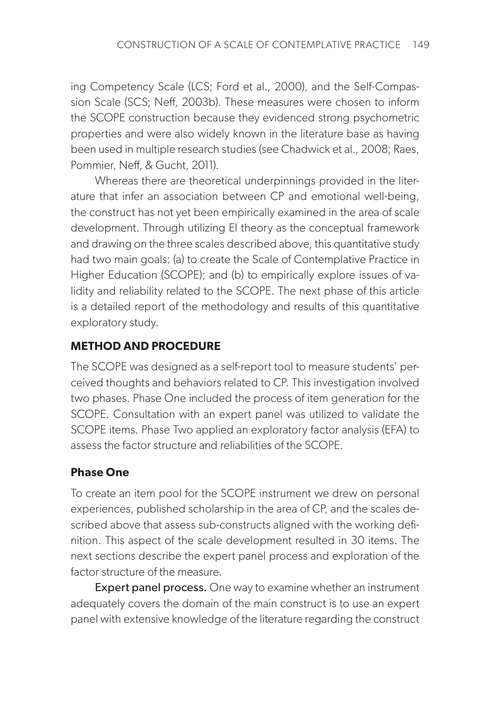ing Competency Scale (LCS; Ford et al., 2000), and the Self-Compassion Scale (SCS; Neff, 2003b). These measures were chosen to inform the SCOPE construction because they evidenced strong psychometric properties and were also widely known in the literature base as having been used in multiple research studies (see Chadwick et al., 2008; Raes, Pommier, Neff, & Gucht, 2011).

Whereas there are theoretical underpinnings provided in the literature that infer an association between CP and emotional well-being, the construct has not yet been empirically examined in the area of scale development. Through utilizing EI theory as the conceptual framework and drawing on the three scales described above, this quantitative study had two main goals: (a) to create the Scale of Contemplative Practice in Higher Education (SCOPE); and (b) to empirically explore issues of validity and reliability related to the SCOPE. The next phase of this article is a detailed report of the methodology and results of this quantitative exploratory study.

# **METHOD AND PROCEDURE**

The SCOPE was designed as a self-report tool to measure students' perceived thoughts and behaviors related to CP. This investigation involved two phases. Phase One included the process of item generation for the SCOPE. Consultation with an expert panel was utilized to validate the SCOPE items. Phase Two applied an exploratory factor analysis (EFA) to assess the factor structure and reliabilities of the SCOPE.

# **Phase One**

To create an item pool for the SCOPE instrument we drew on personal experiences, published scholarship in the area of CP, and the scales described above that assess sub-constructs aligned with the working definition. This aspect of the scale development resulted in 30 items. The next sections describe the expert panel process and exploration of the factor structure of the measure.

**Expert panel process.** One way to examine whether an instrument adequately covers the domain of the main construct is to use an expert panel with extensive knowledge of the literature regarding the construct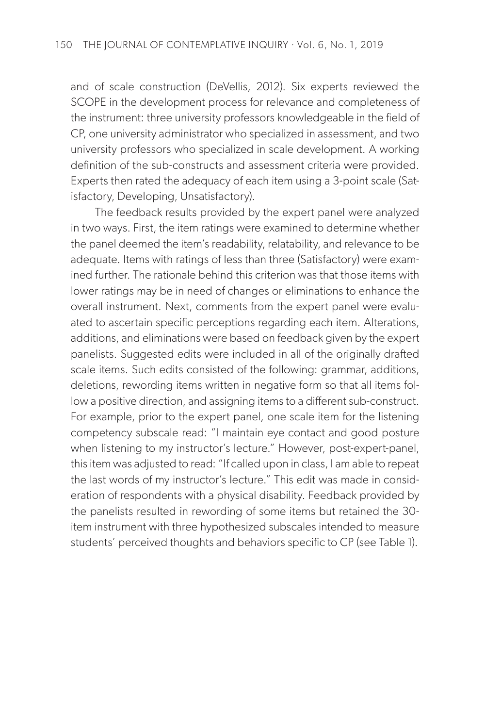and of scale construction (DeVellis, 2012). Six experts reviewed the SCOPE in the development process for relevance and completeness of the instrument: three university professors knowledgeable in the field of CP, one university administrator who specialized in assessment, and two university professors who specialized in scale development. A working definition of the sub-constructs and assessment criteria were provided. Experts then rated the adequacy of each item using a 3-point scale (Satisfactory, Developing, Unsatisfactory).

The feedback results provided by the expert panel were analyzed in two ways. First, the item ratings were examined to determine whether the panel deemed the item's readability, relatability, and relevance to be adequate. Items with ratings of less than three (Satisfactory) were examined further. The rationale behind this criterion was that those items with lower ratings may be in need of changes or eliminations to enhance the overall instrument. Next, comments from the expert panel were evaluated to ascertain specific perceptions regarding each item. Alterations, additions, and eliminations were based on feedback given by the expert panelists. Suggested edits were included in all of the originally drafted scale items. Such edits consisted of the following: grammar, additions, deletions, rewording items written in negative form so that all items follow a positive direction, and assigning items to a different sub-construct. For example, prior to the expert panel, one scale item for the listening competency subscale read: "I maintain eye contact and good posture when listening to my instructor's lecture." However, post-expert-panel, this item was adjusted to read: "If called upon in class, I am able to repeat the last words of my instructor's lecture." This edit was made in consideration of respondents with a physical disability. Feedback provided by the panelists resulted in rewording of some items but retained the 30 item instrument with three hypothesized subscales intended to measure students' perceived thoughts and behaviors specific to CP (see Table 1).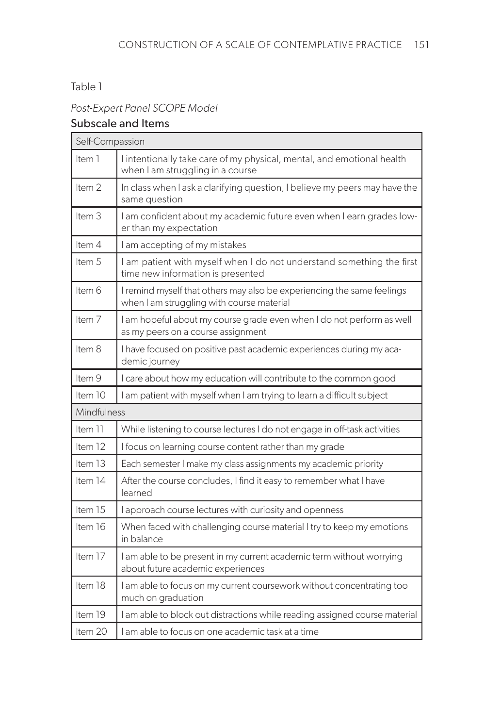#### Table 1

# *Post-Expert Panel SCOPE Model*

# Subscale and Items

| Self-Compassion   |                                                                                                                     |
|-------------------|---------------------------------------------------------------------------------------------------------------------|
| Item 1            | I intentionally take care of my physical, mental, and emotional health<br>when I am struggling in a course          |
| Item <sub>2</sub> | In class when I ask a clarifying question, I believe my peers may have the<br>same question                         |
| Item <sub>3</sub> | I am confident about my academic future even when I earn grades low-<br>er than my expectation                      |
| Item 4            | I am accepting of my mistakes                                                                                       |
| Item 5            | I am patient with myself when I do not understand something the first<br>time new information is presented          |
| Item 6            | I remind myself that others may also be experiencing the same feelings<br>when I am struggling with course material |
| Item <sub>7</sub> | I am hopeful about my course grade even when I do not perform as well<br>as my peers on a course assignment         |
| Item 8            | I have focused on positive past academic experiences during my aca-<br>demic journey                                |
| Item 9            | I care about how my education will contribute to the common good                                                    |
| Item 10           | I am patient with myself when I am trying to learn a difficult subject                                              |
| Mindfulness       |                                                                                                                     |
| Item 11           | While listening to course lectures I do not engage in off-task activities                                           |
| Item 12           | I focus on learning course content rather than my grade                                                             |
| Item 13           | Each semester I make my class assignments my academic priority                                                      |
| Item 14           | After the course concludes, I find it easy to remember what I have<br>learned                                       |
| Item 15           | I approach course lectures with curiosity and openness                                                              |
| Item 16           | When faced with challenging course material I try to keep my emotions<br>in balance                                 |
| Item 17           | I am able to be present in my current academic term without worrying<br>about future academic experiences           |
| Item 18           | I am able to focus on my current coursework without concentrating too<br>much on graduation                         |
| Item 19           | I am able to block out distractions while reading assigned course material                                          |
| Item 20           | l am able to focus on one academic task at a time                                                                   |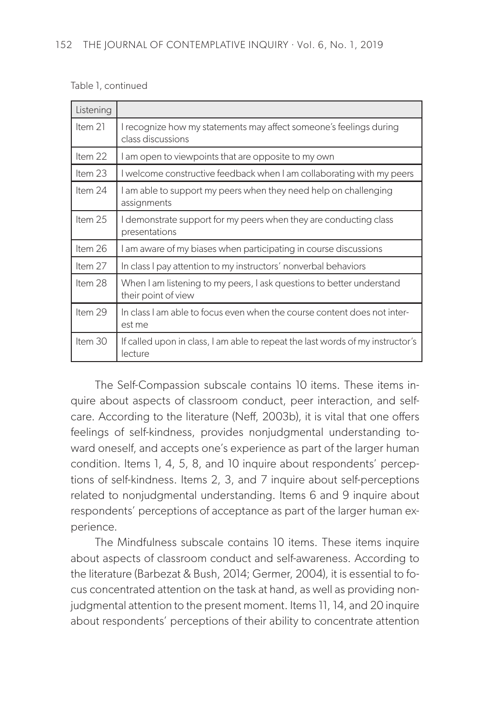#### Table 1, continued

| Listening |                                                                                              |
|-----------|----------------------------------------------------------------------------------------------|
| Item $21$ | I recognize how my statements may affect someone's feelings during<br>class discussions      |
| Item 22   | I am open to viewpoints that are opposite to my own                                          |
| Item 23   | I welcome constructive feedback when I am collaborating with my peers                        |
| Item 24   | I am able to support my peers when they need help on challenging<br>assignments              |
| Item 25   | I demonstrate support for my peers when they are conducting class<br>presentations           |
| Item 26   | I am aware of my biases when participating in course discussions                             |
| Item 27   | In class I pay attention to my instructors' nonverbal behaviors                              |
| Item 28   | When I am listening to my peers, I ask questions to better understand<br>their point of view |
| Item 29   | In class I am able to focus even when the course content does not inter-<br>est me           |
| Item 30   | If called upon in class, I am able to repeat the last words of my instructor's<br>lecture    |

The Self-Compassion subscale contains 10 items. These items inquire about aspects of classroom conduct, peer interaction, and selfcare. According to the literature (Neff, 2003b), it is vital that one offers feelings of self-kindness, provides nonjudgmental understanding toward oneself, and accepts one's experience as part of the larger human condition. Items 1, 4, 5, 8, and 10 inquire about respondents' perceptions of self-kindness. Items 2, 3, and 7 inquire about self-perceptions related to nonjudgmental understanding. Items 6 and 9 inquire about respondents' perceptions of acceptance as part of the larger human experience.

The Mindfulness subscale contains 10 items. These items inquire about aspects of classroom conduct and self-awareness. According to the literature (Barbezat & Bush, 2014; Germer, 2004), it is essential to focus concentrated attention on the task at hand, as well as providing nonjudgmental attention to the present moment. Items 11, 14, and 20 inquire about respondents' perceptions of their ability to concentrate attention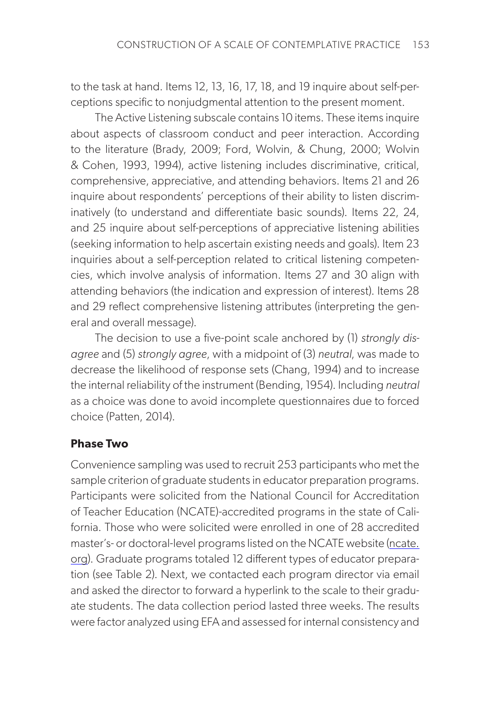to the task at hand. Items 12, 13, 16, 17, 18, and 19 inquire about self-perceptions specific to nonjudgmental attention to the present moment.

The Active Listening subscale contains 10 items. These items inquire about aspects of classroom conduct and peer interaction. According to the literature (Brady, 2009; Ford, Wolvin, & Chung, 2000; Wolvin & Cohen, 1993, 1994), active listening includes discriminative, critical, comprehensive, appreciative, and attending behaviors. Items 21 and 26 inquire about respondents' perceptions of their ability to listen discriminatively (to understand and differentiate basic sounds). Items 22, 24, and 25 inquire about self-perceptions of appreciative listening abilities (seeking information to help ascertain existing needs and goals). Item 23 inquiries about a self-perception related to critical listening competencies, which involve analysis of information. Items 27 and 30 align with attending behaviors (the indication and expression of interest). Items 28 and 29 reflect comprehensive listening attributes (interpreting the general and overall message).

The decision to use a five-point scale anchored by (1) *strongly disagree* and (5) *strongly agree*, with a midpoint of (3) *neutral*, was made to decrease the likelihood of response sets (Chang, 1994) and to increase the internal reliability of the instrument (Bending, 1954). Including *neutral* as a choice was done to avoid incomplete questionnaires due to forced choice (Patten, 2014).

#### **Phase Two**

Convenience sampling was used to recruit 253 participants who met the sample criterion of graduate students in educator preparation programs. Participants were solicited from the National Council for Accreditation of Teacher Education (NCATE)-accredited programs in the state of California. Those who were solicited were enrolled in one of 28 accredited master's- or doctoral-level programs listed on the NCATE website ([ncate.](https://ncate.org) [org](https://ncate.org)). Graduate programs totaled 12 different types of educator preparation (see Table 2). Next, we contacted each program director via email and asked the director to forward a hyperlink to the scale to their graduate students. The data collection period lasted three weeks. The results were factor analyzed using EFA and assessed for internal consistency and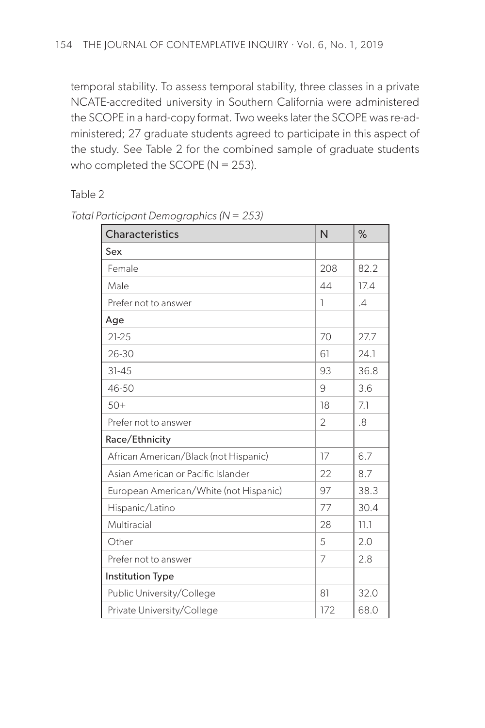temporal stability. To assess temporal stability, three classes in a private NCATE-accredited university in Southern California were administered the SCOPE in a hard-copy format. Two weeks later the SCOPE was re-administered; 27 graduate students agreed to participate in this aspect of the study. See Table 2 for the combined sample of graduate students who completed the SCOPE ( $N = 253$ ).

Table 2

| <b>Characteristics</b>                 | N              | $\%$          |
|----------------------------------------|----------------|---------------|
| Sex                                    |                |               |
| Female                                 | 208            | 82.2          |
| Male                                   | 44             | 17.4          |
| Prefer not to answer                   | 1              | $\mathcal{A}$ |
| Age                                    |                |               |
| $21 - 25$                              | 70             | 27.7          |
| 26-30                                  | 61             | 24.1          |
| $31 - 45$                              | 93             | 36.8          |
| 46-50                                  | 9              | 3.6           |
| $50+$                                  | 18             | 7.1           |
| Prefer not to answer                   | $\overline{2}$ | .8            |
| Race/Ethnicity                         |                |               |
| African American/Black (not Hispanic)  | 17             | 6.7           |
| Asian American or Pacific Islander     | 22             | 8.7           |
| European American/White (not Hispanic) | 97             | 38.3          |
| Hispanic/Latino                        | 77             | 30.4          |
| Multiracial                            | 28             | 11.1          |
| Other                                  | 5              | 2.0           |
| Prefer not to answer                   | 7              | 2.8           |
| <b>Institution Type</b>                |                |               |
| Public University/College              | 81             | 32.0          |
| Private University/College             | 172            | 68.0          |

*Total Participant Demographics (N = 253)*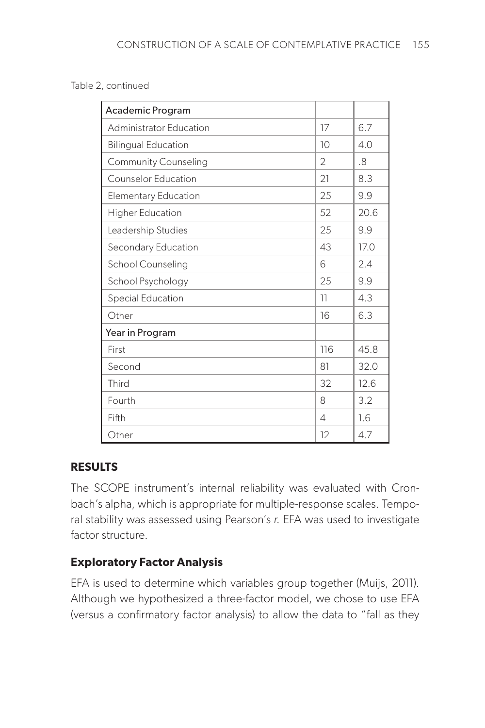#### Table 2, continued

| Academic Program            |                |      |
|-----------------------------|----------------|------|
| Administrator Education     | 17             | 6.7  |
| <b>Bilingual Education</b>  | 10             | 4.0  |
| <b>Community Counseling</b> | $\overline{2}$ | .8   |
| <b>Counselor Education</b>  | 21             | 8.3  |
| <b>Elementary Education</b> | 25             | 9.9  |
| Higher Education            | 52             | 20.6 |
| Leadership Studies          | 25             | 9.9  |
| Secondary Education         | 43             | 170  |
| School Counseling           | 6              | 2.4  |
| School Psychology           | 25             | 9.9  |
| Special Education           | 11             | 4.3  |
| Other                       | 16             | 6.3  |
| Year in Program             |                |      |
| First                       | 116            | 45.8 |
| Second                      | 81             | 32.0 |
| Third                       | 32             | 12.6 |
| Fourth                      | 8              | 3.2  |
| Fifth                       | $\overline{A}$ | 1.6  |
| Other                       | 12             | 4.7  |

#### **RESULTS**

The SCOPE instrument's internal reliability was evaluated with Cronbach's alpha, which is appropriate for multiple-response scales. Temporal stability was assessed using Pearson's *r*. EFA was used to investigate factor structure.

# **Exploratory Factor Analysis**

EFA is used to determine which variables group together (Muijs, 2011). Although we hypothesized a three-factor model, we chose to use EFA (versus a confirmatory factor analysis) to allow the data to "fall as they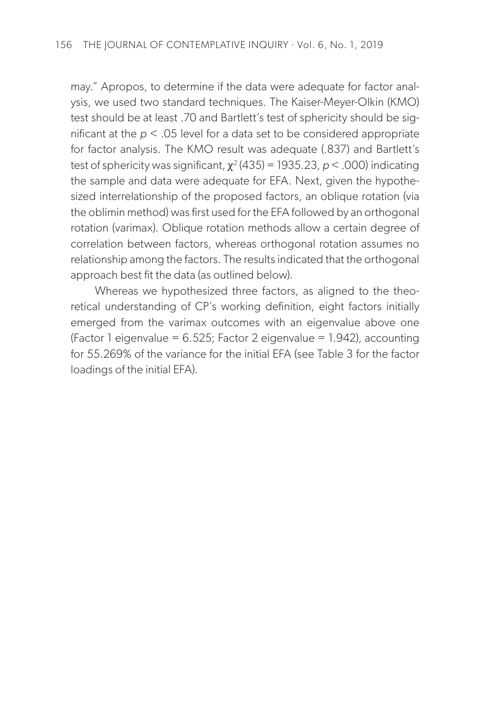may." Apropos, to determine if the data were adequate for factor analysis, we used two standard techniques. The Kaiser-Meyer-Olkin (KMO) test should be at least .70 and Bartlett's test of sphericity should be significant at the *p* < .05 level for a data set to be considered appropriate for factor analysis. The KMO result was adequate (.837) and Bartlett's test of sphericity was significant, χ*<sup>2</sup>* (435) = 1935.23, *p* < .000) indicating the sample and data were adequate for EFA. Next, given the hypothesized interrelationship of the proposed factors, an oblique rotation (via the oblimin method) was first used for the EFA followed by an orthogonal rotation (varimax). Oblique rotation methods allow a certain degree of correlation between factors, whereas orthogonal rotation assumes no relationship among the factors. The results indicated that the orthogonal approach best fit the data (as outlined below).

Whereas we hypothesized three factors, as aligned to the theoretical understanding of CP's working definition, eight factors initially emerged from the varimax outcomes with an eigenvalue above one (Factor 1 eigenvalue =  $6.525$ ; Factor 2 eigenvalue = 1.942), accounting for 55.269% of the variance for the initial EFA (see Table 3 for the factor loadings of the initial EFA).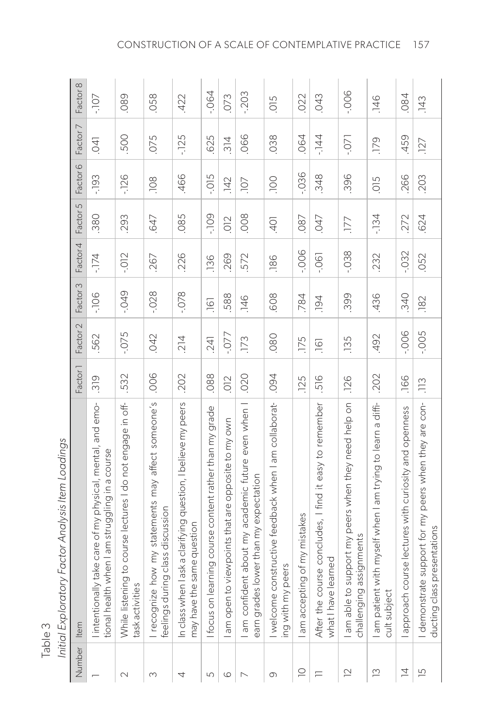| Number                   | Item                                                                                                         | Factor <sup>1</sup> | Factor 2 | Factor 3         | Factor 4 | Factor 5 | Factor 6   | Factor 7       | Factor 8 |
|--------------------------|--------------------------------------------------------------------------------------------------------------|---------------------|----------|------------------|----------|----------|------------|----------------|----------|
|                          | I intentionally take care of my physical, mental, and emo-<br>tional health when I am struggling in a course | 319                 | 562      | $-106$           | $-174$   | .380     | $-193$     | $\overline{0}$ | $-107 -$ |
| $\sim$                   | to course lectures I do not engage in off-<br>While listening<br>task activities                             | .532                | $-0.075$ | $670 -$          | $-0.012$ | 293      | $-126$     | .500           | .089     |
| 3                        | recognize how my statements may affect someone's<br>feelings during class discussion                         | .006                | .042     | $-0.028$         | .267     | .647     | .108       | .075           | .058     |
| 4                        | ask a clarifying question, I believe my peers<br>may have the same question<br>In class when I               | .202                | 214      | $-0.078$         | .226     | .085     | .466       | $-125$         | .422     |
| 5                        | ning course content rather than my grade<br>focus on lear                                                    | .088                | 241      | $\overline{161}$ | .136     | $-109$   | $-0.015$   | 625            | $-064$   |
| $\circ$                  | am open to viewpoints that are opposite to my own                                                            | O12                 | $-0.077$ | .588             | 269      | O12      | 142        | 314            | 073      |
| $\overline{\phantom{0}}$ | I am confident about my academic future even when I<br>earn grades lower than my expectation                 | .020                | 173      | $\frac{146}{5}$  | 572      | .008     | <b>107</b> | .066           | $-203$   |
| 0                        | I welcome constructive feedback when I am collaborat-<br>ers<br>ing with my pe                               | .094                | .080     | .608             | .186     | $-40$    | DOL.       | .038           | 500      |
| $\supseteq$              | of my mistakes<br>am accepting                                                                               | .125                | .175     | .784             | $-006$   | 087      | $-036$     | 064            | 022      |
| Ξ                        | After the course concludes, I find it easy to remember<br>what I have learned                                | 516                 | $-161$   | 194              | $-06$    | 047      | .348       | $-144$         | 043      |
| $\supseteq$              | pport my peers when they need help on<br>challenging assignments<br>I am able to su                          | .126                | 135      | .399             | $-0.38$  | 177      | .396       | $-0.07$        | $-0.006$ |
| $\tilde{c}$              | ith myself when I am trying to learn a diffi-<br>I am patient w<br>cult subject                              | 202                 | .492     | .436             | 232      | $-134$   | 500        | .179           | 146      |
| $\overline{4}$           | approach course lectures with curiosity and openness                                                         | .166                | $-006$   | .340             | $-0.32$  | 272      | .266       | 459            | .084     |
| $\overline{5}$           | support for my peers when they are con-<br>ducting class presentations<br>demonstrate                        | $\frac{13}{2}$      | $-005$   | .182             | .052     | .624     | .203       | 127            | 143      |

Initial Exploratory Factor Analysis Item Loadinas *Initial Exploratory Factor Analysis Item Loadings* 

Table 3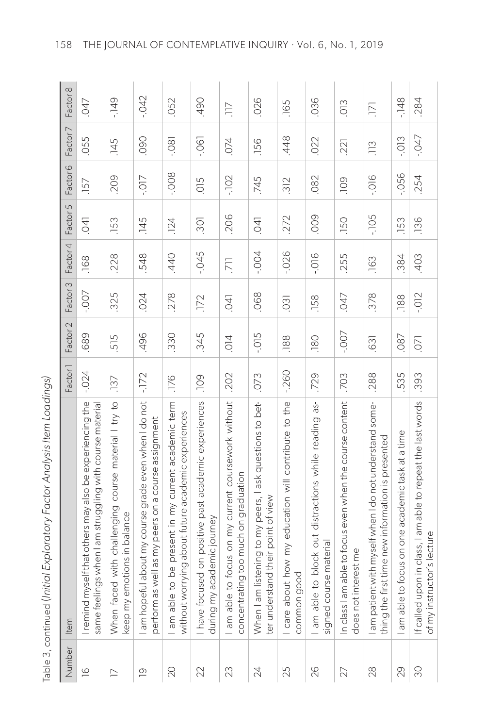| d<br>١<br>)                                                    |
|----------------------------------------------------------------|
| $\overline{ }$                                                 |
|                                                                |
| こくこく こ<br>ı                                                    |
|                                                                |
| ֧֖ׅ֧ׅ֧֚֚֚֚֚֚֚֚֚֚֚֚֚֚֚֚֚֚֚֚֚֚֚֚֝֝֝֝֝֬֝֬֝֬֝֬֝֓֝֬֝֬֝֬֝֬֝֬֝֬֝֬֝֬֝֬ |
|                                                                |
|                                                                |
| ١                                                              |
| י<br>י                                                         |
| ١                                                              |
| $\frac{1}{\zeta}$<br>$\mathfrak{z}$                            |
| ι                                                              |
| コンピ<br>١                                                       |
| $\frac{1}{2}$                                                  |
|                                                                |
|                                                                |
| הודורו בעור האר<br>l                                           |
|                                                                |
|                                                                |
|                                                                |
|                                                                |
| $\frac{1}{2}$                                                  |
| ļ                                                              |
| $\overline{\phantom{a}}$                                       |
| $\overline{\phantom{a}}$<br>ι<br>Φ                             |
|                                                                |
|                                                                |

| Number         | ltem                                                                                                               | Factor <sup>1</sup> | Factor 2       | Factor 3 | Factor 4        | Factor 5        | Factor <sub>6</sub> | Factor 7       | Factor 8         |
|----------------|--------------------------------------------------------------------------------------------------------------------|---------------------|----------------|----------|-----------------|-----------------|---------------------|----------------|------------------|
| $\overline{0}$ | I remind myself that others may also be experiencing the<br>same feelings when I am struggling with course materia | $-0.024$            | .689           | $-00 -$  | .168            | $\overline{50}$ | .157                | .055           | 047              |
| $\geq$         | When faced with challenging course material I try to<br>otions in balance<br>keep my em                            | .137                | 515.           | .325     | .228            | .153            | .209                | ,145           | $-149$           |
| $\overline{0}$ | about my course grade even when I do not<br>perform as well as my peers on a course assignment<br>am hopeful       | $-172$              | .496           | .024     | .548            | .145            | $-0.07$             | 090.           | $-042$           |
| $\infty$       | I am able to be present in my current academic term<br>rying about future academic experiences<br>without wor      | .176                | .330           | .278     | .440            | 124             | $-008$              | $-0.80$        | 052              |
| 22             | I have focused on positive past academic experiences<br>during my academic journey                                 | <b>POL</b>          | .345           | .172     | $-045$          | 301             | 500                 | $-0.061$       | <b>067</b>       |
| 23             | I am able to focus on my current coursework without<br>ng too much on graduation<br>concentratin                   | .202                | $\overline{O}$ | $-04$    | $\overline{71}$ | .206            | $-102$              | 074            | 7IL.             |
| $\geqslant$    | istening to my peers, I ask questions to bet-<br>ter understand their point of view<br>When I am I                 | .073                | $-0.015$       | .068     | $-004$          | $\overline{50}$ | 745                 | .156           | .026             |
| 25             | I care about how my education will contribute to the<br>common good                                                | $-260$              | .188           | 031      | $-0.026$        | 272             | 312                 | .448           | .165             |
| 26             | I am able to block out distractions while reading as-<br>signed course material                                    | .729                | .180           | .158     | $-0.016$        | .009            | .082                | .022           | 036              |
| 27             | able to focus even when the course content<br>does not interest me<br>In class I am                                | .703                | -.007          | .047     | .255            | .150            | <b>POI</b>          | 221            | $\frac{1}{2}$    |
| 28             | I am patient with myself when I do not understand some-<br>thing the first time new information is presented       | .288                | .631           | .378     | .163            | $-105$          | $-016$              | $\frac{13}{2}$ | $\overline{171}$ |
| 29             | focus on one academic task at a time<br>l am able to                                                               | .535                | 087            | .188     | .384            | 153             | $-0.56$             | $-0.013$       | $-148$           |
| 90             | If called upon in class, I am able to repeat the last words<br>of my instructor's lecture                          | .393                | $\overline{C}$ | $-0.012$ | .403            | .136            | .254                | $-047$         | .284             |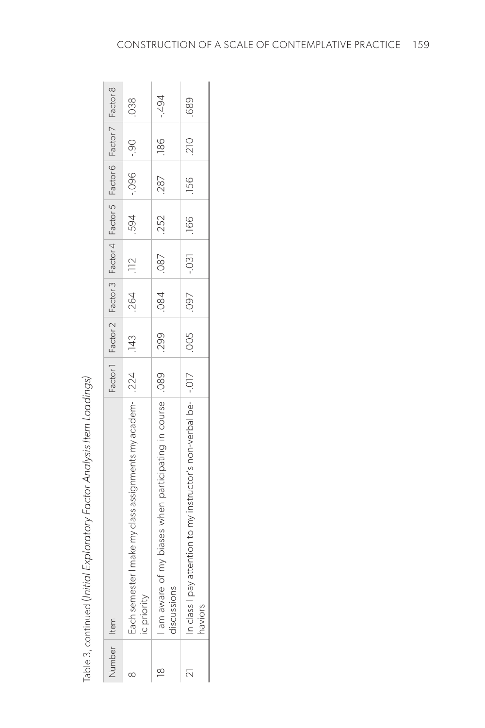Table 3, continued (Initial Exploratory Factor Analysis Item Loadings) Table 3, continued (*Initial Exploratory Factor Analysis Item Loadings)*

| Number I Item      |                                                                               |             |        |            | Factor 1   Factor 2   Factor 3   Factor 4   Factor 5   Factor 6   Factor 7   Factor 8 |                |        |            |
|--------------------|-------------------------------------------------------------------------------|-------------|--------|------------|---------------------------------------------------------------------------------------|----------------|--------|------------|
| ∞                  | I make my class assignments my academ-   .224<br>Each semester<br>ic priority | .143        | $-264$ | .112       |                                                                                       | 06 - 060 - 050 |        | .038       |
| $\overline{\circ}$ | my biases when participating in course   .089<br>am aware of<br>discussions   | <b>1299</b> | $-084$ | 0.87       | .252                                                                                  | .287   186     |        | $-494$     |
|                    | n class I pay attention to my instructor's non-verbal be-   -.017<br>haviors  | 160. 200.   |        | $-031$ 166 |                                                                                       | .156           | $-210$ | <b>689</b> |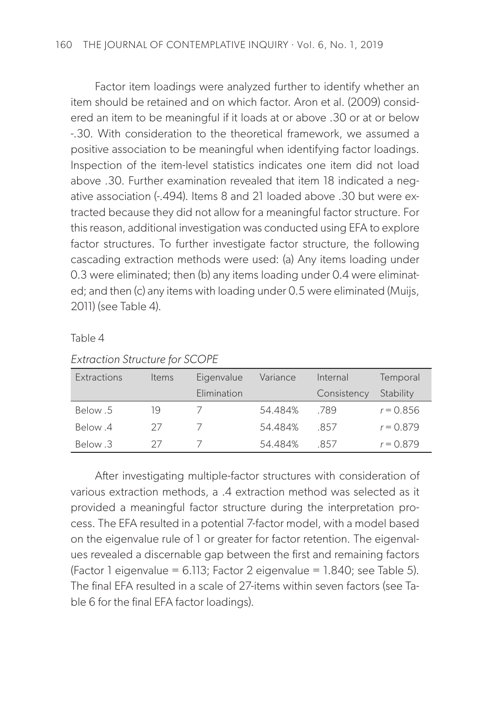Factor item loadings were analyzed further to identify whether an item should be retained and on which factor. Aron et al. (2009) considered an item to be meaningful if it loads at or above .30 or at or below -.30. With consideration to the theoretical framework, we assumed a positive association to be meaningful when identifying factor loadings. Inspection of the item-level statistics indicates one item did not load above .30. Further examination revealed that item 18 indicated a negative association (-.494). Items 8 and 21 loaded above .30 but were extracted because they did not allow for a meaningful factor structure. For this reason, additional investigation was conducted using EFA to explore factor structures. To further investigate factor structure, the following cascading extraction methods were used: (a) Any items loading under 0.3 were eliminated; then (b) any items loading under 0.4 were eliminated; and then (c) any items with loading under 0.5 were eliminated (Muijs, 2011) (see Table 4).

Table 4

| Extractions | Items | Eigenvalue  | Variance | Internal    | Temporal    |
|-------------|-------|-------------|----------|-------------|-------------|
|             |       | Elimination |          | Consistency | Stability   |
| Below .5    | 19    |             | 54.484%  | -789        | $r = 0.856$ |
| Below 4     | 27    |             | 54.484%  | -857        | $r = 0.879$ |
| Below 3     |       |             | 54 484%  | -857        | $r = 0.879$ |

*Extraction Structure for SCOPE*

After investigating multiple-factor structures with consideration of various extraction methods, a .4 extraction method was selected as it provided a meaningful factor structure during the interpretation process. The EFA resulted in a potential 7-factor model, with a model based on the eigenvalue rule of 1 or greater for factor retention. The eigenvalues revealed a discernable gap between the first and remaining factors (Factor 1 eigenvalue =  $6.113$ ; Factor 2 eigenvalue =  $1.840$ ; see Table 5). The final EFA resulted in a scale of 27-items within seven factors (see Table 6 for the final EFA factor loadings).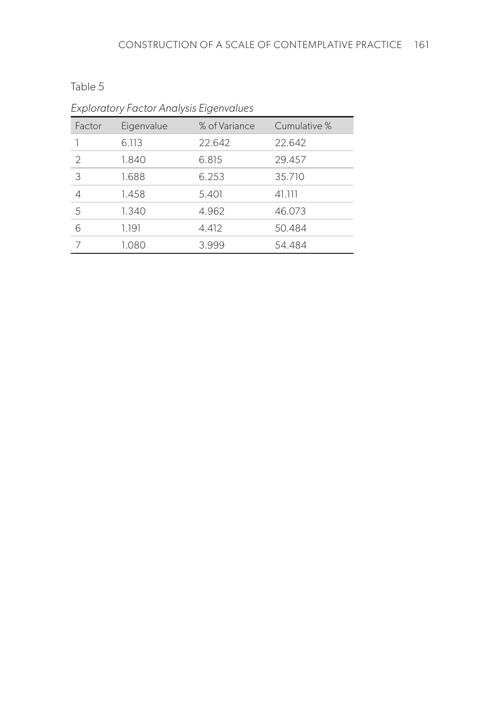| . .<br>×<br>۰, | × |
|----------------|---|
|----------------|---|

| Factor        | Eigenvalue | % of Variance | Cumulative % |
|---------------|------------|---------------|--------------|
|               | 6.113      | 22.642        | 22.642       |
| $\mathcal{D}$ | 1.840      | 6.815         | 29.457       |
| 3             | 1.688      | 6.253         | 35.710       |
| 4             | 1.458      | 5.401         | 41.111       |
| 5             | 1.340      | 4.962         | 46.073       |
| 6             | 1.191      | 4.412         | 50.484       |
|               | 1.080      | 3.999         | 54.484       |

*Exploratory Factor Analysis Eigenvalues*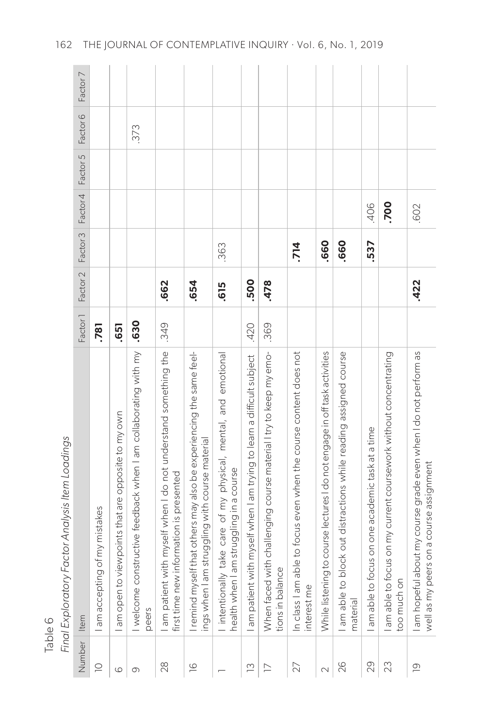|         | Factor 7<br>Factor <sub>6</sub><br>Factor 5<br>Factor 4<br>Factor <sub>3</sub><br>Factor 2 |                                |                                                   | 373                                                                      | .662                                                                                                     | .654                                                                                                                   | .363<br>.615                                                                                                  | .500                                                                 | .478                                                                                  | .714                                                                             | .660                                                                         | .660                                                                           | .406<br>.537                                    | .700                                                                          | .602<br>.422                                                                                              |
|---------|--------------------------------------------------------------------------------------------|--------------------------------|---------------------------------------------------|--------------------------------------------------------------------------|----------------------------------------------------------------------------------------------------------|------------------------------------------------------------------------------------------------------------------------|---------------------------------------------------------------------------------------------------------------|----------------------------------------------------------------------|---------------------------------------------------------------------------------------|----------------------------------------------------------------------------------|------------------------------------------------------------------------------|--------------------------------------------------------------------------------|-------------------------------------------------|-------------------------------------------------------------------------------|-----------------------------------------------------------------------------------------------------------|
|         | Factor <sub>1</sub>                                                                        | <b>781</b>                     | .651                                              | .630                                                                     | .349                                                                                                     |                                                                                                                        |                                                                                                               | .420                                                                 | .369                                                                                  |                                                                                  |                                                                              |                                                                                |                                                 |                                                                               |                                                                                                           |
| Table 6 | Final Exploratory Factor Analysis Item Loadings<br>Item                                    | of my mistakes<br>am accepting | am open to viewpoints that are opposite to my own | I welcome constructive feedback when I am collaborating with my<br>peers | am patient with myself when I do not understand something the<br>first time new information is presented | remind myself that others may also be experiencing the same feel-<br>struggling with course material<br>ings when I am | take care of my physical, mental, and emotional<br>nealth when I am struggling in a course<br>I intentionally | am patient with myself when I am trying to learn a difficult subject | When faced with challenging course material I try to keep my emo-<br>tions in balance | In class I am able to focus even when the course content does not<br>interest me | to course lectures I do not engage in off task activities<br>While listening | ock out distractions while reading assigned course<br>am able to b<br>material | am able to focus on one academic task at a time | am able to focus on my current coursework without concentrating<br>oo much on | am hopeful about my course grade even when I do not perform as<br>well as my peers on a course assignment |
|         | Number                                                                                     | $\supseteq$                    | 6                                                 | 0                                                                        | $28$                                                                                                     | $\overline{6}$                                                                                                         |                                                                                                               | $\tilde{c}$                                                          | $\geq$                                                                                | 27                                                                               | $\sim$                                                                       | 26                                                                             | 29                                              | 23                                                                            | $\overline{0}$                                                                                            |

162 THE JOURNAL OF CONTEMPLATIVE INQUIRY . Vol. 6, No. 1, 2019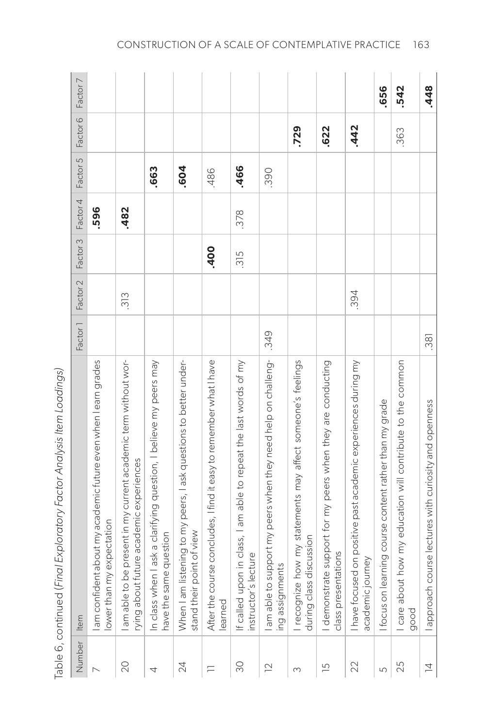| Number         | Item                                                                                                      | Factor <sup>1</sup> | Factor <sub>2</sub> | Factor 3 | Factor 4 | Factor 5 | Factor <sub>6</sub> | Factor 7 |
|----------------|-----------------------------------------------------------------------------------------------------------|---------------------|---------------------|----------|----------|----------|---------------------|----------|
|                | about my academic future even when I earn grades<br>expectation<br>am confident<br>lower than my          |                     |                     |          | .596     |          |                     |          |
| $\infty$       | am able to be present in my current academic term without wor-<br>rying about future academic experiences |                     | 313                 |          | .482     |          |                     |          |
| 4              | I ask a clarifying question, I believe my peers may<br>auestion<br>have the same<br>In class when         |                     |                     |          |          | .663     |                     |          |
| 24             | When I am listening to my peers, I ask questions to better under-<br>stand their point of view            |                     |                     |          |          | .604     |                     |          |
| ᄃ              | After the course concludes, I find it easy to remember what I have<br>learned                             |                     |                     | .400     |          | .486     |                     |          |
| $\infty$       | in class, I am able to repeat the last words of my<br>instructor's lecture<br>If called upon              |                     |                     | 315      | .378     | .466     |                     |          |
| $\supseteq$    | upport my peers when they need help on challeng-<br>ing assignments<br>am able to su                      | .349                |                     |          |          | .390     |                     |          |
| $\infty$       | I recognize how my statements may affect someone's feelings<br>during class discussion                    |                     |                     |          |          |          | .729                |          |
| $\overline{5}$ | I demonstrate support for my peers when they are conducting<br>class presentations                        |                     |                     |          |          |          | .622                |          |
| 22             | I have focused on positive past academic experiences during my<br>academic journey                        |                     | .394                |          |          |          | .442                |          |
| 5              | ning course content rather than my grade<br>Ifocus on lear                                                |                     |                     |          |          |          |                     | .656     |
| 25             | now my education will contribute to the common<br>I care about<br>good                                    |                     |                     |          |          |          | .363                | .542     |
| $\overline{4}$ | I approach course lectures with curiosity and openness                                                    | .381                |                     |          |          |          |                     | .448     |

Table 6, continued (Final Exploratory Factor Analysis Item Loadings) Table 6, continued (*Final Exploratory Factor Analysis Item Loadings)*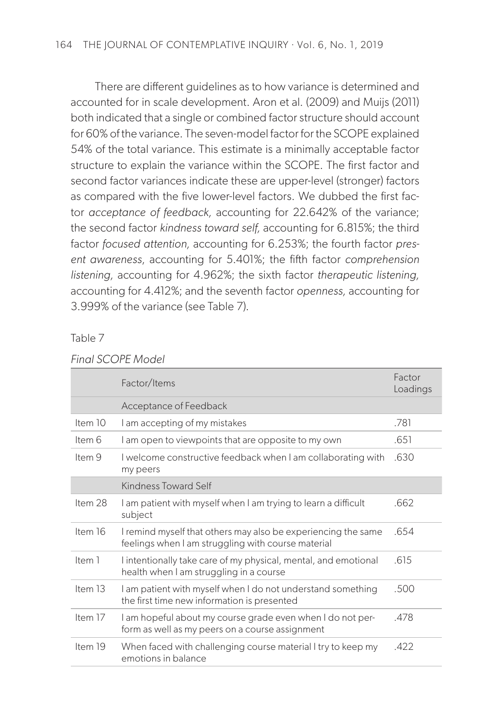There are different guidelines as to how variance is determined and accounted for in scale development. Aron et al. (2009) and Muijs (2011) both indicated that a single or combined factor structure should account for 60% of the variance. The seven-model factor for the SCOPE explained 54% of the total variance. This estimate is a minimally acceptable factor structure to explain the variance within the SCOPE. The first factor and second factor variances indicate these are upper-level (stronger) factors as compared with the five lower-level factors. We dubbed the first factor *acceptance of feedback,* accounting for 22.642% of the variance; the second factor *kindness toward self,* accounting for 6.815%; the third factor *focused attention,* accounting for 6.253%; the fourth factor *present awareness*, accounting for 5.401%; the fifth factor *comprehension listening,* accounting for 4.962%; the sixth factor *therapeutic listening,*  accounting for 4.412%; and the seventh factor *openness,* accounting for 3.999% of the variance (see Table 7).

Table 7

|           | Factor/Items                                                                                                        | Factor<br>Loadings |
|-----------|---------------------------------------------------------------------------------------------------------------------|--------------------|
|           | Acceptance of Feedback                                                                                              |                    |
| Item $10$ | I am accepting of my mistakes                                                                                       | .781               |
| Item 6    | I am open to viewpoints that are opposite to my own                                                                 | .651               |
| Item 9    | I welcome constructive feedback when I am collaborating with<br>my peers                                            | .630               |
|           | Kindness Toward Self                                                                                                |                    |
| Item 28   | I am patient with myself when I am trying to learn a difficult<br>subject                                           | .662               |
| Item 16   | I remind myself that others may also be experiencing the same<br>feelings when I am struggling with course material | .654               |
| Item 1    | I intentionally take care of my physical, mental, and emotional<br>health when I am struggling in a course          | .615               |
| Item $13$ | I am patient with myself when I do not understand something<br>the first time new information is presented          | .500               |
| Item 17   | I am hopeful about my course grade even when I do not per-<br>form as well as my peers on a course assignment       | .478               |
| Item 19   | When faced with challenging course material I try to keep my<br>emotions in balance                                 | .422               |

#### *Final SCOPE Model*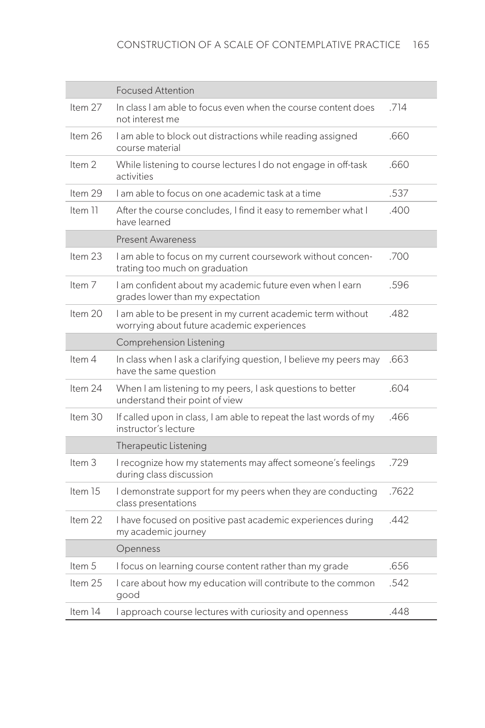|                   | <b>Focused Attention</b>                                                                                  |       |
|-------------------|-----------------------------------------------------------------------------------------------------------|-------|
| Item 27           | In class I am able to focus even when the course content does<br>not interest me                          | .714  |
| Item 26           | I am able to block out distractions while reading assigned<br>course material                             | .660  |
| Item <sub>2</sub> | While listening to course lectures I do not engage in off-task<br>activities                              | .660  |
| Item 29           | I am able to focus on one academic task at a time                                                         | .537  |
| Item 11           | After the course concludes, I find it easy to remember what I<br>have learned                             | .400  |
|                   | <b>Present Awareness</b>                                                                                  |       |
| Item 23           | .700<br>I am able to focus on my current coursework without concen-<br>trating too much on graduation     |       |
| Item <sub>7</sub> | I am confident about my academic future even when I earn<br>grades lower than my expectation              | .596  |
| Item 20           | I am able to be present in my current academic term without<br>worrying about future academic experiences | .482  |
|                   | Comprehension Listening                                                                                   |       |
| Item 4            | In class when I ask a clarifying question, I believe my peers may<br>have the same question               | .663  |
| Item 24           | When I am listening to my peers, I ask questions to better<br>understand their point of view              | .604  |
| Item $30$         | If called upon in class, I am able to repeat the last words of my<br>instructor's lecture                 | .466  |
|                   | Therapeutic Listening                                                                                     |       |
| Item 3            | I recognize how my statements may affect someone's feelings<br>during class discussion                    | .729  |
| Item 15           | I demonstrate support for my peers when they are conducting<br>class presentations                        | .7622 |
| Item 22           | I have focused on positive past academic experiences during<br>my academic journey                        | .442  |
|                   | Openness                                                                                                  |       |
| Item 5            | I focus on learning course content rather than my grade                                                   | .656  |
| Item 25           | I care about how my education will contribute to the common<br>good                                       | .542  |
| Item 14           | I approach course lectures with curiosity and openness                                                    | .448  |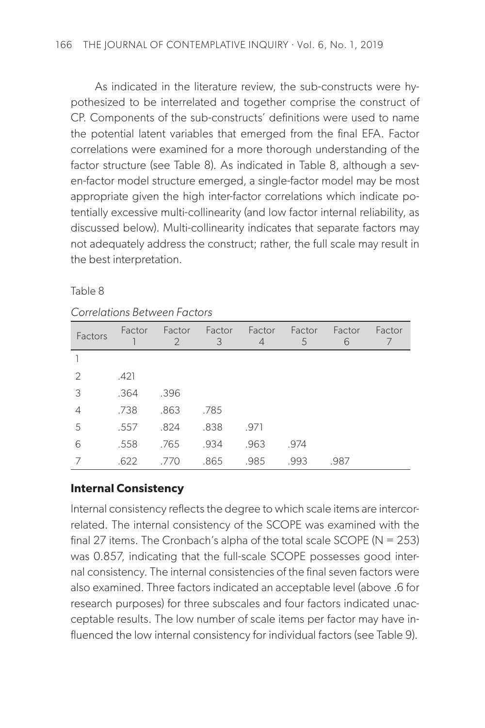As indicated in the literature review, the sub-constructs were hypothesized to be interrelated and together comprise the construct of CP. Components of the sub-constructs' definitions were used to name the potential latent variables that emerged from the final EFA. Factor correlations were examined for a more thorough understanding of the factor structure (see Table 8). As indicated in Table 8, although a seven-factor model structure emerged, a single-factor model may be most appropriate given the high inter-factor correlations which indicate potentially excessive multi-collinearity (and low factor internal reliability, as discussed below). Multi-collinearity indicates that separate factors may not adequately address the construct; rather, the full scale may result in the best interpretation.

| . .<br>× |  |
|----------|--|
|          |  |

#### *Correlations Between Factors*

| Factors        | Factor | Factor<br>$\mathcal{P}$ | Factor<br>3 | Factor<br>$\overline{4}$ | Factor<br>5 | Factor<br>6 | Factor |
|----------------|--------|-------------------------|-------------|--------------------------|-------------|-------------|--------|
|                |        |                         |             |                          |             |             |        |
| 2              | .421   |                         |             |                          |             |             |        |
| 3              | .364   | .396                    |             |                          |             |             |        |
| $\overline{4}$ | .738   | .863                    | .785        |                          |             |             |        |
| 5              | .557   | .824                    | .838        | .971                     |             |             |        |
| 6              | .558   | .765                    | .934        | .963                     | .974        |             |        |
|                | .622   | .770                    | .865        | .985                     | .993        | .987        |        |

# **Internal Consistency**

Internal consistency reflects the degree to which scale items are intercorrelated. The internal consistency of the SCOPE was examined with the final 27 items. The Cronbach's alpha of the total scale SCOPE ( $N = 253$ ) was 0.857, indicating that the full-scale SCOPE possesses good internal consistency. The internal consistencies of the final seven factors were also examined. Three factors indicated an acceptable level (above .6 for research purposes) for three subscales and four factors indicated unacceptable results. The low number of scale items per factor may have influenced the low internal consistency for individual factors (see Table 9).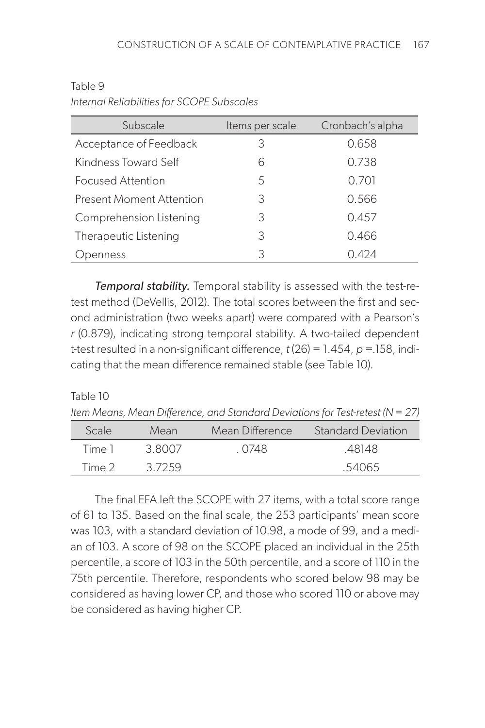| Subscale                        | Items per scale | Cronbach's alpha |
|---------------------------------|-----------------|------------------|
| Acceptance of Feedback          | 3               | 0.658            |
| Kindness Toward Self            | 6               | 0.738            |
| Focused Attention               | 5               | 0.701            |
| <b>Present Moment Attention</b> | 3               | 0.566            |
| Comprehension Listening         | 3               | 0.457            |
| Therapeutic Listening           | 3               | 0.466            |
| penness                         | 3               | 0.424            |

Table 9 *Internal Reliabilities for SCOPE Subscales*

*Temporal stability.* Temporal stability is assessed with the test-retest method (DeVellis, 2012). The total scores between the first and second administration (two weeks apart) were compared with a Pearson's *r* (0.879), indicating strong temporal stability. A two-tailed dependent t-test resulted in a non-significant difference, *t* (26) = 1.454, *p* =.158, indicating that the mean difference remained stable (see Table 10).

#### Table 10

*Item Means, Mean Difference, and Standard Deviations for Test-retest (N = 27)*

| Scale  | Mean   | Mean Difference | Standard Deviation |
|--------|--------|-----------------|--------------------|
| Time 1 | 3.8007 | . 0748          | .48148             |
| Time 2 | 37259  |                 | .54065             |

The final EFA left the SCOPE with 27 items, with a total score range of 61 to 135. Based on the final scale, the 253 participants' mean score was 103, with a standard deviation of 10.98, a mode of 99, and a median of 103. A score of 98 on the SCOPE placed an individual in the 25th percentile, a score of 103 in the 50th percentile, and a score of 110 in the 75th percentile. Therefore, respondents who scored below 98 may be considered as having lower CP, and those who scored 110 or above may be considered as having higher CP.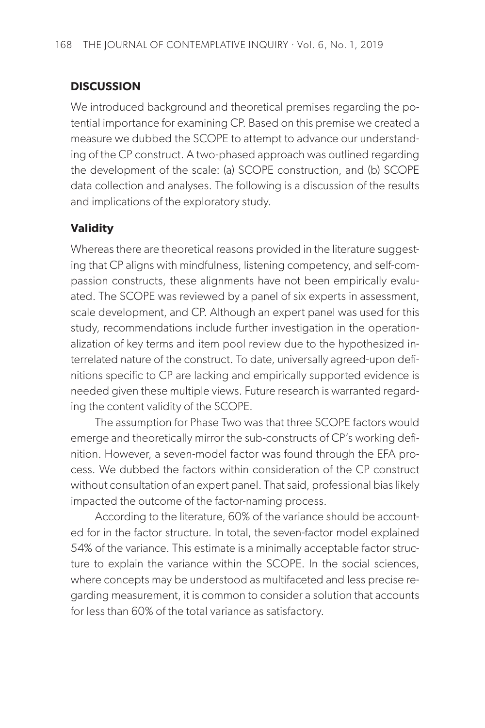# **DISCUSSION**

We introduced background and theoretical premises regarding the potential importance for examining CP. Based on this premise we created a measure we dubbed the SCOPE to attempt to advance our understanding of the CP construct. A two-phased approach was outlined regarding the development of the scale: (a) SCOPE construction, and (b) SCOPE data collection and analyses. The following is a discussion of the results and implications of the exploratory study.

# **Validity**

Whereas there are theoretical reasons provided in the literature suggesting that CP aligns with mindfulness, listening competency, and self-compassion constructs, these alignments have not been empirically evaluated. The SCOPE was reviewed by a panel of six experts in assessment, scale development, and CP. Although an expert panel was used for this study, recommendations include further investigation in the operationalization of key terms and item pool review due to the hypothesized interrelated nature of the construct. To date, universally agreed-upon definitions specific to CP are lacking and empirically supported evidence is needed given these multiple views. Future research is warranted regarding the content validity of the SCOPE.

The assumption for Phase Two was that three SCOPE factors would emerge and theoretically mirror the sub-constructs of CP's working definition. However, a seven-model factor was found through the EFA process. We dubbed the factors within consideration of the CP construct without consultation of an expert panel. That said, professional bias likely impacted the outcome of the factor-naming process.

According to the literature, 60% of the variance should be accounted for in the factor structure. In total, the seven-factor model explained 54% of the variance. This estimate is a minimally acceptable factor structure to explain the variance within the SCOPE. In the social sciences, where concepts may be understood as multifaceted and less precise regarding measurement, it is common to consider a solution that accounts for less than 60% of the total variance as satisfactory.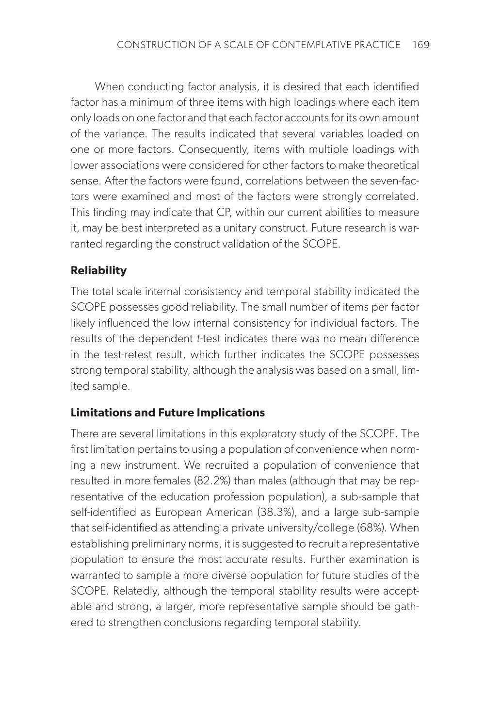When conducting factor analysis, it is desired that each identified factor has a minimum of three items with high loadings where each item only loads on one factor and that each factor accounts for its own amount of the variance. The results indicated that several variables loaded on one or more factors. Consequently, items with multiple loadings with lower associations were considered for other factors to make theoretical sense. After the factors were found, correlations between the seven-factors were examined and most of the factors were strongly correlated. This finding may indicate that CP, within our current abilities to measure it, may be best interpreted as a unitary construct. Future research is warranted regarding the construct validation of the SCOPE.

### **Reliability**

The total scale internal consistency and temporal stability indicated the SCOPE possesses good reliability. The small number of items per factor likely influenced the low internal consistency for individual factors. The results of the dependent *t*-test indicates there was no mean difference in the test-retest result, which further indicates the SCOPE possesses strong temporal stability, although the analysis was based on a small, limited sample.

#### **Limitations and Future Implications**

There are several limitations in this exploratory study of the SCOPE. The first limitation pertains to using a population of convenience when norming a new instrument. We recruited a population of convenience that resulted in more females (82.2%) than males (although that may be representative of the education profession population), a sub-sample that self-identified as European American (38.3%), and a large sub-sample that self-identified as attending a private university/college (68%). When establishing preliminary norms, it is suggested to recruit a representative population to ensure the most accurate results. Further examination is warranted to sample a more diverse population for future studies of the SCOPE. Relatedly, although the temporal stability results were acceptable and strong, a larger, more representative sample should be gathered to strengthen conclusions regarding temporal stability.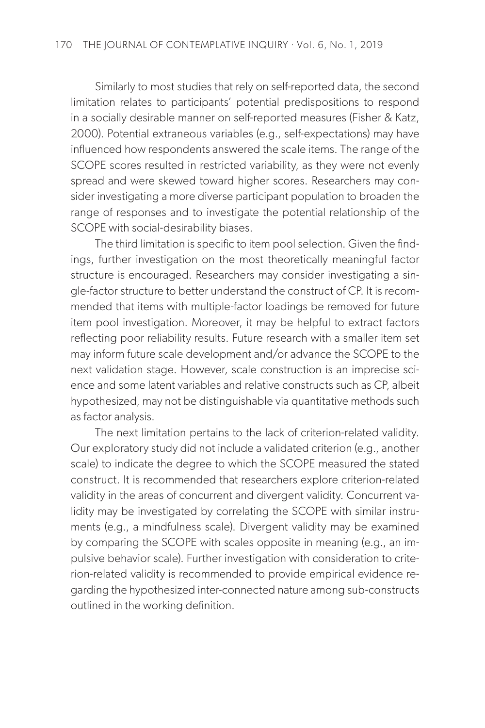Similarly to most studies that rely on self-reported data, the second limitation relates to participants' potential predispositions to respond in a socially desirable manner on self-reported measures (Fisher & Katz, 2000). Potential extraneous variables (e.g., self-expectations) may have influenced how respondents answered the scale items. The range of the SCOPE scores resulted in restricted variability, as they were not evenly spread and were skewed toward higher scores. Researchers may consider investigating a more diverse participant population to broaden the range of responses and to investigate the potential relationship of the SCOPE with social-desirability biases.

The third limitation is specific to item pool selection. Given the findings, further investigation on the most theoretically meaningful factor structure is encouraged. Researchers may consider investigating a single-factor structure to better understand the construct of CP. It is recommended that items with multiple-factor loadings be removed for future item pool investigation. Moreover, it may be helpful to extract factors reflecting poor reliability results. Future research with a smaller item set may inform future scale development and/or advance the SCOPE to the next validation stage. However, scale construction is an imprecise science and some latent variables and relative constructs such as CP, albeit hypothesized, may not be distinguishable via quantitative methods such as factor analysis.

The next limitation pertains to the lack of criterion-related validity. Our exploratory study did not include a validated criterion (e.g., another scale) to indicate the degree to which the SCOPE measured the stated construct. It is recommended that researchers explore criterion-related validity in the areas of concurrent and divergent validity. Concurrent validity may be investigated by correlating the SCOPE with similar instruments (e.g., a mindfulness scale). Divergent validity may be examined by comparing the SCOPE with scales opposite in meaning (e.g., an impulsive behavior scale). Further investigation with consideration to criterion-related validity is recommended to provide empirical evidence regarding the hypothesized inter-connected nature among sub-constructs outlined in the working definition.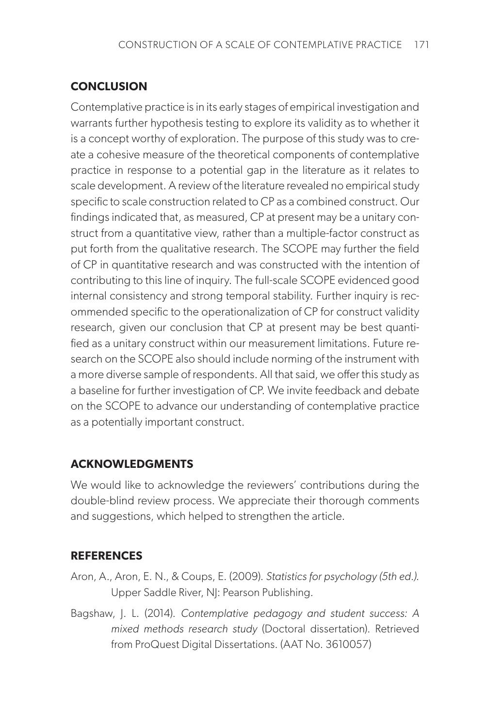# **CONCLUSION**

Contemplative practice is in its early stages of empirical investigation and warrants further hypothesis testing to explore its validity as to whether it is a concept worthy of exploration. The purpose of this study was to create a cohesive measure of the theoretical components of contemplative practice in response to a potential gap in the literature as it relates to scale development. A review of the literature revealed no empirical study specific to scale construction related to CP as a combined construct. Our findings indicated that, as measured, CP at present may be a unitary construct from a quantitative view, rather than a multiple-factor construct as put forth from the qualitative research. The SCOPE may further the field of CP in quantitative research and was constructed with the intention of contributing to this line of inquiry. The full-scale SCOPE evidenced good internal consistency and strong temporal stability. Further inquiry is recommended specific to the operationalization of CP for construct validity research, given our conclusion that CP at present may be best quantified as a unitary construct within our measurement limitations. Future research on the SCOPE also should include norming of the instrument with a more diverse sample of respondents. All that said, we offer this study as a baseline for further investigation of CP. We invite feedback and debate on the SCOPE to advance our understanding of contemplative practice as a potentially important construct.

# **ACKNOWLEDGMENTS**

We would like to acknowledge the reviewers' contributions during the double-blind review process. We appreciate their thorough comments and suggestions, which helped to strengthen the article.

# **REFERENCES**

- Aron, A., Aron, E. N., & Coups, E. (2009). *Statistics for psychology (5th ed.)*. Upper Saddle River, NJ: Pearson Publishing.
- Bagshaw, J. L. (2014). *Contemplative pedagogy and student success: A mixed methods research study* (Doctoral dissertation). Retrieved from ProQuest Digital Dissertations. (AAT No. 3610057)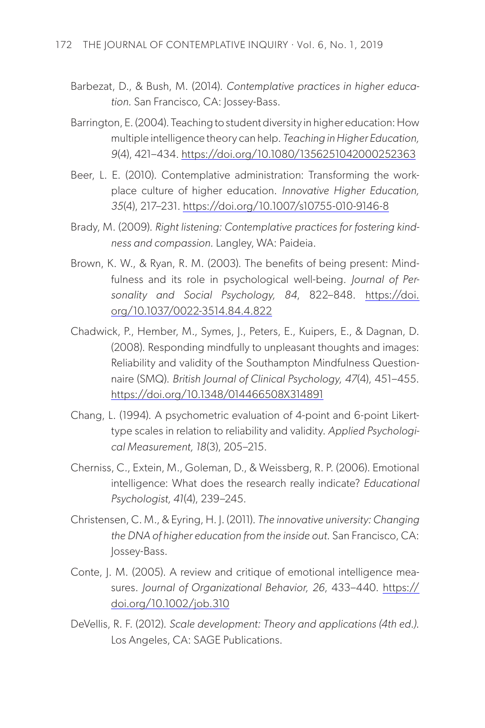- Barbezat, D., & Bush, M. (2014). *Contemplative practices in higher education.* San Francisco, CA: Jossey-Bass.
- Barrington, E. (2004). Teaching to student diversity in higher education: How multiple intelligence theory can help. *Teaching in Higher Education, 9*(4), 421–434. <https://doi.org/10.1080/1356251042000252363>
- Beer, L. E. (2010). Contemplative administration: Transforming the workplace culture of higher education. *Innovative Higher Education, 35*(4), 217–231. <https://doi.org/10.1007/s10755-010-9146-8>
- Brady, M. (2009). *Right listening: Contemplative practices for fostering kindness and compassion.* Langley, WA: Paideia.
- Brown, K. W., & Ryan, R. M. (2003). The benefits of being present: Mindfulness and its role in psychological well-being. *Journal of Personality and Social Psychology, 84*, 822–848. [https://doi.](https://doi.org/10.1037/0022-3514.84.4.822) [org/10.1037/0022-3514.84.4.822](https://doi.org/10.1037/0022-3514.84.4.822)
- Chadwick, P., Hember, M., Symes, J., Peters, E., Kuipers, E., & Dagnan, D. (2008). Responding mindfully to unpleasant thoughts and images: Reliability and validity of the Southampton Mindfulness Questionnaire (SMQ). *British Journal of Clinical Psychology, 47*(4), 451–455. <https://doi.org/10.1348/014466508X314891>
- Chang, L. (1994). A psychometric evaluation of 4-point and 6-point Likerttype scales in relation to reliability and validity. *Applied Psychological Measurement, 18*(3), 205–215.
- Cherniss, C., Extein, M., Goleman, D., & Weissberg, R. P. (2006). Emotional intelligence: What does the research really indicate? *Educational Psychologist, 41*(4), 239–245.
- Christensen, C. M., & Eyring, H. J. (2011). *The innovative university: Changing the DNA of higher education from the inside out.* San Francisco, CA: Jossey-Bass.
- Conte, J. M. (2005). A review and critique of emotional intelligence measures. Journal of Organizational Behavior, 26, 433-440. [https://](https://doi.org/10.1002/job.310) [doi.org/10.1002/job.310](https://doi.org/10.1002/job.310)
- DeVellis, R. F. (2012). *Scale development: Theory and applications (4th ed.)*. Los Angeles, CA: SAGE Publications.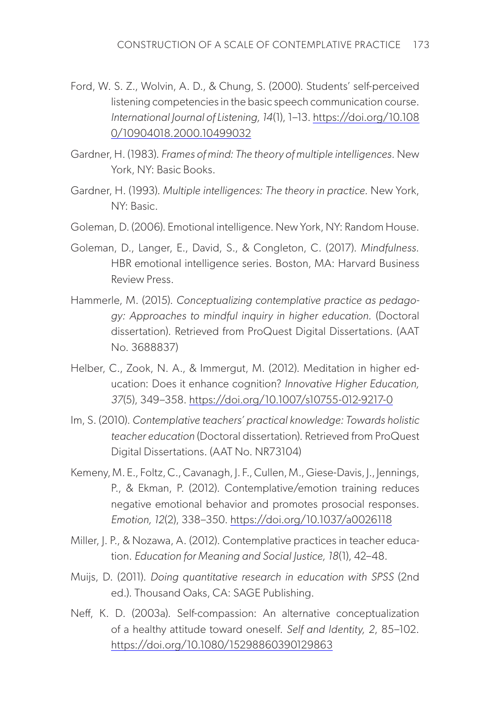- Ford, W. S. Z., Wolvin, A. D., & Chung, S. (2000). Students' self-perceived listening competencies in the basic speech communication course. *International Journal of Listening, 14*(1), 1–13. [https://doi.org/10.108](https://doi.org/10.1080/10904018.2000.10499032) [0/10904018.2000.10499032](https://doi.org/10.1080/10904018.2000.10499032)
- Gardner, H. (1983). *Frames of mind: The theory of multiple intelligences.* New York, NY: Basic Books.
- Gardner, H. (1993). *Multiple intelligences: The theory in practice.* New York, NY: Basic.
- Goleman, D. (2006). Emotional intelligence. New York, NY: Random House.
- Goleman, D., Langer, E., David, S., & Congleton, C. (2017). *Mindfulness.*  HBR emotional intelligence series. Boston, MA: Harvard Business Review Press.
- Hammerle, M. (2015). *Conceptualizing contemplative practice as pedagogy: Approaches to mindful inquiry in higher education.* (Doctoral dissertation). Retrieved from ProQuest Digital Dissertations. (AAT No. 3688837)
- Helber, C., Zook, N. A., & Immergut, M. (2012). Meditation in higher education: Does it enhance cognition? *Innovative Higher Education, 37*(5), 349–358. <https://doi.org/10.1007/s10755-012-9217-0>
- Im, S. (2010). *Contemplative teachers' practical knowledge: Towards holistic teacher education* (Doctoral dissertation). Retrieved from ProQuest Digital Dissertations. (AAT No. NR73104)
- Kemeny, M. E., Foltz, C., Cavanagh, J. F., Cullen, M., Giese-Davis, J., Jennings, P., & Ekman, P. (2012). Contemplative/emotion training reduces negative emotional behavior and promotes prosocial responses. *Emotion, 12*(2), 338–350.<https://doi.org/10.1037/a0026118>
- Miller, J. P., & Nozawa, A. (2012). Contemplative practices in teacher education. *Education for Meaning and Social Justice, 18*(1), 42–48.
- Muijs, D. (2011). *Doing quantitative research in education with SPSS* (2nd ed.). Thousand Oaks, CA: SAGE Publishing.
- Neff, K. D. (2003a). Self-compassion: An alternative conceptualization of a healthy attitude toward oneself. *Self and Identity, 2*, 85–102. <https://doi.org/10.1080/15298860390129863>